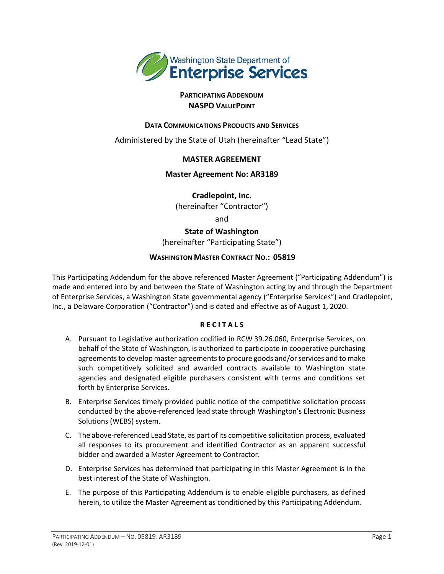

# **PARTICIPATING ADDENDUM NASPO VALUEPOINT**

# **DATA COMMUNICATIONS PRODUCTS AND SERVICES**

Administered by the State of Utah (hereinafter "Lead State")

# **MASTER AGREEMENT**

#### **Master Agreement No: AR3189**

**Cradlepoint, Inc.**

(hereinafter "Contractor")

and

**State of Washington** (hereinafter "Participating State")

# **WASHINGTON MASTER CONTRACT NO.: 05819**

This Participating Addendum for the above referenced Master Agreement ("Participating Addendum") is made and entered into by and between the State of Washington acting by and through the Department of Enterprise Services, a Washington State governmental agency ("Enterprise Services") and Cradlepoint, Inc., a Delaware Corporation ("Contractor") and is dated and effective as of August 1, 2020.

# **R E C I T A L S**

- A. Pursuant to Legislative authorization codified in RCW 39.26.060, Enterprise Services, on behalf of the State of Washington, is authorized to participate in cooperative purchasing agreements to develop master agreements to procure goods and/or services and to make such competitively solicited and awarded contracts available to Washington state agencies and designated eligible purchasers consistent with terms and conditions set forth by Enterprise Services.
- B. Enterprise Services timely provided public notice of the competitive solicitation process conducted by the above-referenced lead state through Washington's Electronic Business Solutions (WEBS) system.
- C. The above-referenced Lead State, as part of its competitive solicitation process, evaluated all responses to its procurement and identified Contractor as an apparent successful bidder and awarded a Master Agreement to Contractor.
- D. Enterprise Services has determined that participating in this Master Agreement is in the best interest of the State of Washington.
- E. The purpose of this Participating Addendum is to enable eligible purchasers, as defined herein, to utilize the Master Agreement as conditioned by this Participating Addendum.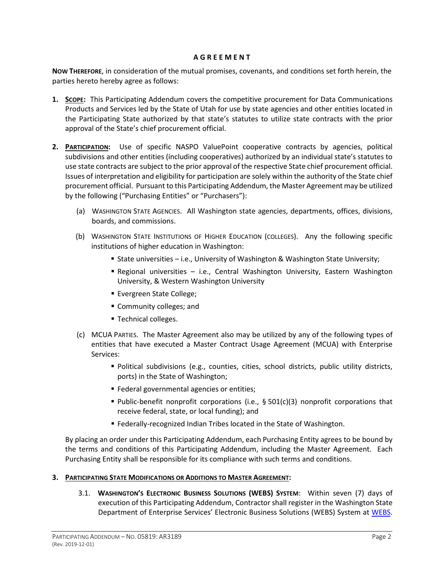#### **A G R E E M E N T**

**NOW THEREFORE**, in consideration of the mutual promises, covenants, and conditions set forth herein, the parties hereto hereby agree as follows:

- **1. SCOPE:** This Participating Addendum covers the competitive procurement for Data Communications Products and Services led by the State of Utah for use by state agencies and other entities located in the Participating State authorized by that state's statutes to utilize state contracts with the prior approval of the State's chief procurement official.
- **2. PARTICIPATION:** Use of specific NASPO ValuePoint cooperative contracts by agencies, political subdivisions and other entities (including cooperatives) authorized by an individual state's statutes to use state contracts are subject to the prior approval of the respective State chief procurement official. Issues of interpretation and eligibility for participation are solely within the authority of the State chief procurement official. Pursuant to this Participating Addendum, the Master Agreement may be utilized by the following ("Purchasing Entities" or "Purchasers"):
	- (a) WASHINGTON STATE AGENCIES. All Washington state agencies, departments, offices, divisions, boards, and commissions.
	- (b) WASHINGTON STATE INSTITUTIONS OF HIGHER EDUCATION (COLLEGES). Any the following specific institutions of higher education in Washington:
		- State universities i.e., University of Washington & Washington State University;
		- Regional universities i.e., Central Washington University, Eastern Washington University, & Western Washington University
		- **Evergreen State College;**
		- **Community colleges; and**
		- Technical colleges.
	- (c) MCUA PARTIES. The Master Agreement also may be utilized by any of the following types of entities that have executed a Master Contract Usage Agreement (MCUA) with Enterprise Services:
		- Political subdivisions (e.g., counties, cities, school districts, public utility districts, ports) in the State of Washington;
		- **Federal governmental agencies or entities;**
		- Public-benefit nonprofit corporations (i.e.,  $\S 501(c)(3)$  nonprofit corporations that receive federal, state, or local funding); and
		- Federally-recognized Indian Tribes located in the State of Washington.

By placing an order under this Participating Addendum, each Purchasing Entity agrees to be bound by the terms and conditions of this Participating Addendum, including the Master Agreement. Each Purchasing Entity shall be responsible for its compliance with such terms and conditions.

# **3. PARTICIPATING STATE MODIFICATIONS OR ADDITIONS TO MASTER AGREEMENT:**

3.1. **WASHINGTON'S ELECTRONIC BUSINESS SOLUTIONS (WEBS) SYSTEM**: Within seven (7) days of execution of this Participating Addendum, Contractor shall register in the Washington State Department of Enterprise Services' Electronic Business Solutions (WEBS) System at [WEBS.](https://pr-webs-vendor.des.wa.gov/)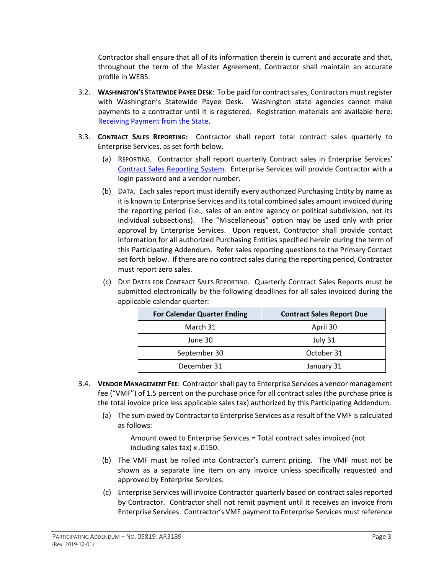Contractor shall ensure that all of its information therein is current and accurate and that, throughout the term of the Master Agreement, Contractor shall maintain an accurate profile in WEBS.

- 3.2. **WASHINGTON'S STATEWIDE PAYEE DESK**: To be paid for contract sales, Contractors must register with Washington's Statewide Payee Desk. Washington state agencies cannot make payments to a contractor until it is registered. Registration materials are available here: [Receiving Payment from the State.](http://www.des.wa.gov/services/ContractingPurchasing/Business/VendorPay/Pages/default.aspx)
- 3.3. **CONTRACT SALES REPORTING:** Contractor shall report total contract sales quarterly to Enterprise Services, as set forth below.
	- (a) REPORTING. Contractor shall report quarterly Contract sales in Enterprise Services' [Contract Sales Reporting System.](https://apps.des.wa.gov/CSR/login.aspx) Enterprise Services will provide Contractor with a login password and a vendor number.
	- (b) DATA. Each sales report must identify every authorized Purchasing Entity by name as it is known to Enterprise Services and its total combined sales amount invoiced during the reporting period (i.e., sales of an entire agency or political subdivision, not its individual subsections). The "Miscellaneous" option may be used only with prior approval by Enterprise Services. Upon request, Contractor shall provide contact information for all authorized Purchasing Entities specified herein during the term of this Participating Addendum. Refer sales reporting questions to the Primary Contact set forth below. If there are no contract sales during the reporting period, Contractor must report zero sales.
	- (c) DUE DATES FOR CONTRACT SALES REPORTING. Quarterly Contract Sales Reports must be submitted electronically by the following deadlines for all sales invoiced during the applicable calendar quarter:

| <b>For Calendar Quarter Ending</b> | <b>Contract Sales Report Due</b> |
|------------------------------------|----------------------------------|
| March 31                           | April 30                         |
| June 30                            | July 31                          |
| September 30                       | October 31                       |
| December 31                        | January 31                       |

- 3.4. **VENDOR MANAGEMENT FEE**: Contractor shall pay to Enterprise Services a vendor management fee ("VMF") of 1.5 percent on the purchase price for all contract sales (the purchase price is the total invoice price less applicable sales tax) authorized by this Participating Addendum.
	- (a) The sum owed by Contractor to Enterprise Services as a result of the VMF is calculated as follows:

Amount owed to Enterprise Services = Total contract sales invoiced (not including sales tax) x .0150.

- (b) The VMF must be rolled into Contractor's current pricing. The VMF must not be shown as a separate line item on any invoice unless specifically requested and approved by Enterprise Services.
- (c) Enterprise Services will invoice Contractor quarterly based on contract sales reported by Contractor. Contractor shall not remit payment until it receives an invoice from Enterprise Services. Contractor's VMF payment to Enterprise Services must reference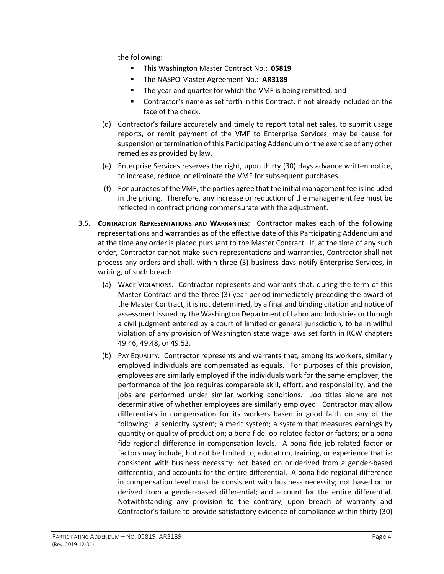the following:

- This Washington Master Contract No.: **05819**
- The NASPO Master Agreement No.: **AR3189**
- **The year and quarter for which the VMF is being remitted, and**
- Contractor's name as set forth in this Contract, if not already included on the face of the check.
- (d) Contractor's failure accurately and timely to report total net sales, to submit usage reports, or remit payment of the VMF to Enterprise Services, may be cause for suspension or termination of this Participating Addendum or the exercise of any other remedies as provided by law.
- (e) Enterprise Services reserves the right, upon thirty (30) days advance written notice, to increase, reduce, or eliminate the VMF for subsequent purchases.
- (f) For purposes of the VMF, the parties agree that the initial management fee isincluded in the pricing. Therefore, any increase or reduction of the management fee must be reflected in contract pricing commensurate with the adjustment.
- 3.5. **CONTRACTOR REPRESENTATIONS AND WARRANTIES**: Contractor makes each of the following representations and warranties as of the effective date of this Participating Addendum and at the time any order is placed pursuant to the Master Contract. If, at the time of any such order, Contractor cannot make such representations and warranties, Contractor shall not process any orders and shall, within three (3) business days notify Enterprise Services, in writing, of such breach.
	- (a) WAGE VIOLATIONS. Contractor represents and warrants that, during the term of this Master Contract and the three (3) year period immediately preceding the award of the Master Contract, it is not determined, by a final and binding citation and notice of assessment issued by the Washington Department of Labor and Industries or through a civil judgment entered by a court of limited or general jurisdiction, to be in willful violation of any provision of Washington state wage laws set forth in RCW chapters 49.46, 49.48, or 49.52.
	- (b) PAY EQUALITY. Contractor represents and warrants that, among its workers, similarly employed individuals are compensated as equals. For purposes of this provision, employees are similarly employed if the individuals work for the same employer, the performance of the job requires comparable skill, effort, and responsibility, and the jobs are performed under similar working conditions. Job titles alone are not determinative of whether employees are similarly employed. Contractor may allow differentials in compensation for its workers based in good faith on any of the following: a seniority system; a merit system; a system that measures earnings by quantity or quality of production; a bona fide job-related factor or factors; or a bona fide regional difference in compensation levels. A bona fide job-related factor or factors may include, but not be limited to, education, training, or experience that is: consistent with business necessity; not based on or derived from a gender-based differential; and accounts for the entire differential. A bona fide regional difference in compensation level must be consistent with business necessity; not based on or derived from a gender-based differential; and account for the entire differential. Notwithstanding any provision to the contrary, upon breach of warranty and Contractor's failure to provide satisfactory evidence of compliance within thirty (30)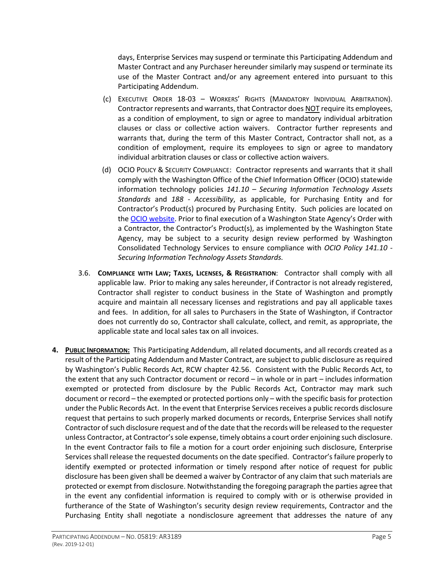days, Enterprise Services may suspend or terminate this Participating Addendum and Master Contract and any Purchaser hereunder similarly may suspend or terminate its use of the Master Contract and/or any agreement entered into pursuant to this Participating Addendum.

- (c) EXECUTIVE ORDER 18-03 WORKERS' RIGHTS (MANDATORY INDIVIDUAL ARBITRATION). Contractor represents and warrants, that Contractor does NOT require its employees, as a condition of employment, to sign or agree to mandatory individual arbitration clauses or class or collective action waivers. Contractor further represents and warrants that, during the term of this Master Contract, Contractor shall not, as a condition of employment, require its employees to sign or agree to mandatory individual arbitration clauses or class or collective action waivers.
- (d) OCIO POLICY & SECURITY COMPLIANCE: Contractor represents and warrants that it shall comply with the Washington Office of the Chief Information Officer (OCIO) statewide information technology policies *141.10 – Securing Information Technology Assets Standards* and *188 - Accessibility*, as applicable, for Purchasing Entity and for Contractor's Product(s) procured by Purchasing Entity. Such policies are located on the [OCIO website.](https://ocio.wa.gov/policies) Prior to final execution of a Washington State Agency's Order with a Contractor, the Contractor's Product(s), as implemented by the Washington State Agency, may be subject to a security design review performed by Washington Consolidated Technology Services to ensure compliance with *OCIO Policy 141.10 - Securing Information Technology Assets Standards.*
- 3.6. **COMPLIANCE WITH LAW; TAXES, LICENSES, & REGISTRATION**: Contractor shall comply with all applicable law. Prior to making any sales hereunder, if Contractor is not already registered, Contractor shall register to conduct business in the State of Washington and promptly acquire and maintain all necessary licenses and registrations and pay all applicable taxes and fees. In addition, for all sales to Purchasers in the State of Washington, if Contractor does not currently do so, Contractor shall calculate, collect, and remit, as appropriate, the applicable state and local sales tax on all invoices.
- **4. PUBLIC INFORMATION:** This Participating Addendum, all related documents, and all records created as a result of the Participating Addendum and Master Contract, are subject to public disclosure as required by Washington's Public Records Act, RCW chapter 42.56. Consistent with the Public Records Act, to the extent that any such Contractor document or record – in whole or in part – includes information exempted or protected from disclosure by the Public Records Act, Contractor may mark such document or record – the exempted or protected portions only – with the specific basis for protection under the Public Records Act. In the event that Enterprise Services receives a public records disclosure request that pertains to such properly marked documents or records, Enterprise Services shall notify Contractor of such disclosure request and of the date that the records will be released to the requester unless Contractor, at Contractor's sole expense, timely obtains a court order enjoining such disclosure. In the event Contractor fails to file a motion for a court order enjoining such disclosure, Enterprise Services shall release the requested documents on the date specified. Contractor's failure properly to identify exempted or protected information or timely respond after notice of request for public disclosure has been given shall be deemed a waiver by Contractor of any claim that such materials are protected or exempt from disclosure. Notwithstanding the foregoing paragraph the parties agree that in the event any confidential information is required to comply with or is otherwise provided in furtherance of the State of Washington's security design review requirements, Contractor and the Purchasing Entity shall negotiate a nondisclosure agreement that addresses the nature of any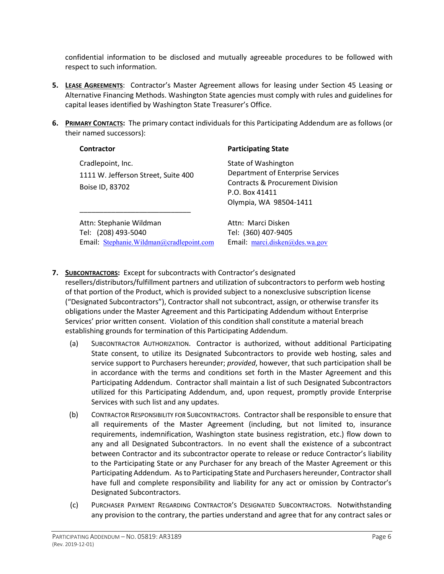confidential information to be disclosed and mutually agreeable procedures to be followed with respect to such information.

- **5. LEASE AGREEMENTS**: Contractor's Master Agreement allows for leasing under Section 45 Leasing or Alternative Financing Methods. Washington State agencies must comply with rules and guidelines for capital leases identified by Washington State Treasurer's Office.
- **6. PRIMARY CONTACTS:** The primary contact individuals for this Participating Addendum are as follows (or their named successors):

| Contractor                                                                                 | <b>Participating State</b>                                                                                                                          |
|--------------------------------------------------------------------------------------------|-----------------------------------------------------------------------------------------------------------------------------------------------------|
| Cradlepoint, Inc.<br>1111 W. Jefferson Street, Suite 400<br>Boise ID, 83702                | State of Washington<br>Department of Enterprise Services<br><b>Contracts &amp; Procurement Division</b><br>P.O. Box 41411<br>Olympia, WA 98504-1411 |
| Attn: Stephanie Wildman<br>Tel: (208) 493-5040<br>Email: Stephanie.Wildman@cradlepoint.com | Attn: Marci Disken<br>Tel: (360) 407-9405<br>Email: marci.disken@des.wa.gov                                                                         |

# **7. SUBCONTRACTORS:** Except for subcontracts with Contractor's designated

resellers/distributors/fulfillment partners and utilization of subcontractors to perform web hosting of that portion of the Product, which is provided subject to a nonexclusive subscription license ("Designated Subcontractors"), Contractor shall not subcontract, assign, or otherwise transfer its obligations under the Master Agreement and this Participating Addendum without Enterprise Services' prior written consent. Violation of this condition shall constitute a material breach establishing grounds for termination of this Participating Addendum.

- (a) SUBCONTRACTOR AUTHORIZATION. Contractor is authorized, without additional Participating State consent, to utilize its Designated Subcontractors to provide web hosting, sales and service support to Purchasers hereunder; *provided*, however, that such participation shall be in accordance with the terms and conditions set forth in the Master Agreement and this Participating Addendum. Contractor shall maintain a list of such Designated Subcontractors utilized for this Participating Addendum, and, upon request, promptly provide Enterprise Services with such list and any updates.
- (b) CONTRACTOR RESPONSIBILITY FOR SUBCONTRACTORS. Contractor shall be responsible to ensure that all requirements of the Master Agreement (including, but not limited to, insurance requirements, indemnification, Washington state business registration, etc.) flow down to any and all Designated Subcontractors. In no event shall the existence of a subcontract between Contractor and its subcontractor operate to release or reduce Contractor's liability to the Participating State or any Purchaser for any breach of the Master Agreement or this Participating Addendum. As to Participating State and Purchasers hereunder, Contractor shall have full and complete responsibility and liability for any act or omission by Contractor's Designated Subcontractors.
- (c) PURCHASER PAYMENT REGARDING CONTRACTOR'S DESIGNATED SUBCONTRACTORS. Notwithstanding any provision to the contrary, the parties understand and agree that for any contract sales or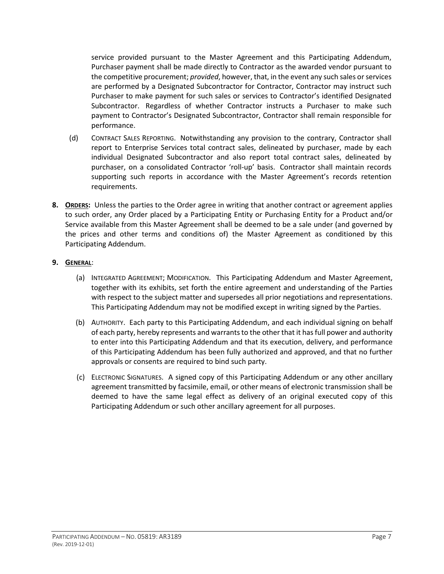service provided pursuant to the Master Agreement and this Participating Addendum, Purchaser payment shall be made directly to Contractor as the awarded vendor pursuant to the competitive procurement; *provided*, however, that, in the event any such sales or services are performed by a Designated Subcontractor for Contractor, Contractor may instruct such Purchaser to make payment for such sales or services to Contractor's identified Designated Subcontractor. Regardless of whether Contractor instructs a Purchaser to make such payment to Contractor's Designated Subcontractor, Contractor shall remain responsible for performance.

- (d) CONTRACT SALES REPORTING. Notwithstanding any provision to the contrary, Contractor shall report to Enterprise Services total contract sales, delineated by purchaser, made by each individual Designated Subcontractor and also report total contract sales, delineated by purchaser, on a consolidated Contractor 'roll-up' basis. Contractor shall maintain records supporting such reports in accordance with the Master Agreement's records retention requirements.
- **8. ORDERS:** Unless the parties to the Order agree in writing that another contract or agreement applies to such order, any Order placed by a Participating Entity or Purchasing Entity for a Product and/or Service available from this Master Agreement shall be deemed to be a sale under (and governed by the prices and other terms and conditions of) the Master Agreement as conditioned by this Participating Addendum.

# **9. GENERAL**:

- (a) INTEGRATED AGREEMENT; MODIFICATION. This Participating Addendum and Master Agreement, together with its exhibits, set forth the entire agreement and understanding of the Parties with respect to the subject matter and supersedes all prior negotiations and representations. This Participating Addendum may not be modified except in writing signed by the Parties.
- (b) AUTHORITY. Each party to this Participating Addendum, and each individual signing on behalf of each party, hereby represents and warrants to the other that it has full power and authority to enter into this Participating Addendum and that its execution, delivery, and performance of this Participating Addendum has been fully authorized and approved, and that no further approvals or consents are required to bind such party.
- (c) ELECTRONIC SIGNATURES. A signed copy of this Participating Addendum or any other ancillary agreement transmitted by facsimile, email, or other means of electronic transmission shall be deemed to have the same legal effect as delivery of an original executed copy of this Participating Addendum or such other ancillary agreement for all purposes.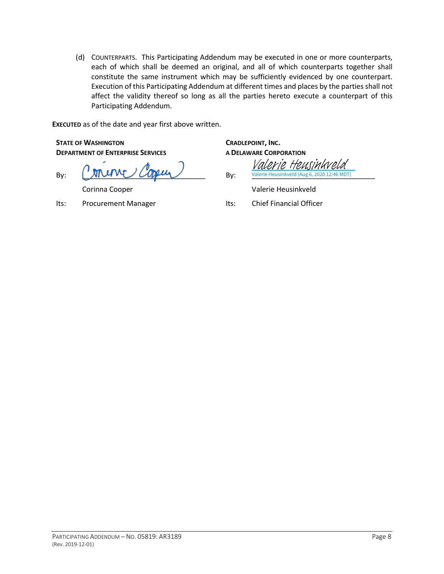(d) COUNTERPARTS. This Participating Addendum may be executed in one or more counterparts, each of which shall be deemed an original, and all of which counterparts together shall constitute the same instrument which may be sufficiently evidenced by one counterpart. Execution of this Participating Addendum at different times and places by the parties shall not affect the validity thereof so long as all the parties hereto execute a counterpart of this Participating Addendum.

**EXECUTED** as of the date and year first above written.

**STATE OF WASHINGTON DEPARTMENT OF ENTERPRISE SERVICES**

By: \_\_\_\_\_\_\_\_\_\_\_\_\_\_\_\_\_\_\_\_\_\_\_\_\_\_\_\_\_\_\_ By: \_\_\_\_\_\_\_\_\_\_\_\_\_\_\_\_\_\_\_\_\_\_\_\_\_\_\_\_\_\_\_ Valerie Heusinkveld (Aug 6, 2020 12:46 MDT)

Its: Procurement Manager Its: Chief Financial Officer

**CRADLEPOINT, INC. A DELAWARE CORPORATION**

Valerie Heusin

Corinna Cooper Valerie Heusinkveld